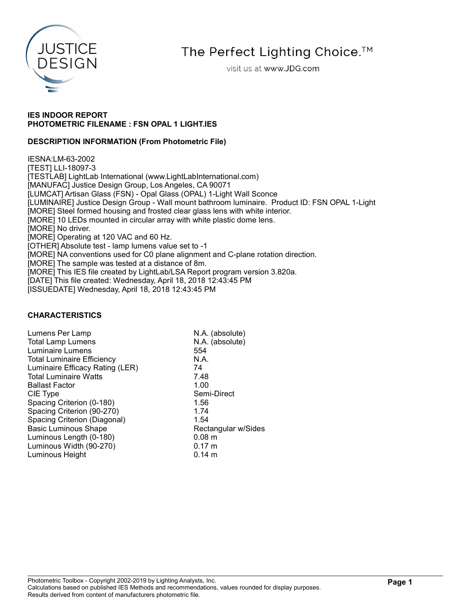

The Perfect Lighting Choice.<sup>™</sup>

visit us at www.JDG.com

## IES INDOOR REPORT PHOTOMETRIC FILENAME : FSN OPAL 1 LIGHT.IES

## DESCRIPTION INFORMATION (From Photometric File)

IESNA:LM-63-2002 [TEST] LLI-18097-3 [TESTLAB] LightLab International (www.LightLabInternational.com) [MANUFAC] Justice Design Group, Los Angeles, CA 90071 [LUMCAT] Artisan Glass (FSN) - Opal Glass (OPAL) 1-Light Wall Sconce [LUMINAIRE] Justice Design Group - Wall mount bathroom luminaire. Product ID: FSN OPAL 1-Light [MORE] Steel formed housing and frosted clear glass lens with white interior. [MORE] 10 LEDs mounted in circular array with white plastic dome lens. [MORE] No driver. [MORE] Operating at 120 VAC and 60 Hz. [OTHER] Absolute test - lamp lumens value set to -1 [MORE] NA conventions used for C0 plane alignment and C-plane rotation direction. [MORE] The sample was tested at a distance of 8m. [MORE] This IES file created by LightLab/LSA Report program version 3.820a. [DATE] This file created: Wednesday, April 18, 2018 12:43:45 PM [ISSUEDATE] Wednesday, April 18, 2018 12:43:45 PM

### CHARACTERISTICS

| Lumens Per Lamp                   | N.A. (absolute)     |
|-----------------------------------|---------------------|
| <b>Total Lamp Lumens</b>          | N.A. (absolute)     |
| Luminaire Lumens                  | 554                 |
| <b>Total Luminaire Efficiency</b> | N.A.                |
| Luminaire Efficacy Rating (LER)   | 74                  |
| <b>Total Luminaire Watts</b>      | 7.48                |
| <b>Ballast Factor</b>             | 1.00                |
| CIE Type                          | Semi-Direct         |
| Spacing Criterion (0-180)         | 1.56                |
| Spacing Criterion (90-270)        | 1.74                |
| Spacing Criterion (Diagonal)      | 1.54                |
| <b>Basic Luminous Shape</b>       | Rectangular w/Sides |
| Luminous Length (0-180)           | 0.08 m              |
| Luminous Width (90-270)           | $0.17 \; m$         |
| Luminous Height                   | $0.14 \text{ m}$    |
|                                   |                     |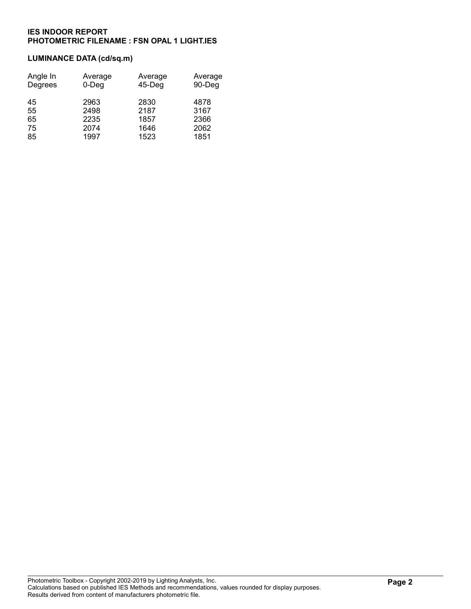### LUMINANCE DATA (cd/sq.m)

| Angle In<br>Degrees | Average<br>$0$ -Deg | Average<br>$45$ -Deg | Average<br>90-Deg |
|---------------------|---------------------|----------------------|-------------------|
| 45<br>55            | 2963<br>2498        | 2830<br>2187         | 4878<br>3167      |
| 65                  | 2235                | 1857                 | 2366              |
| 75                  | 2074                | 1646                 | 2062              |
| 85                  | 1997                | 1523                 | 1851              |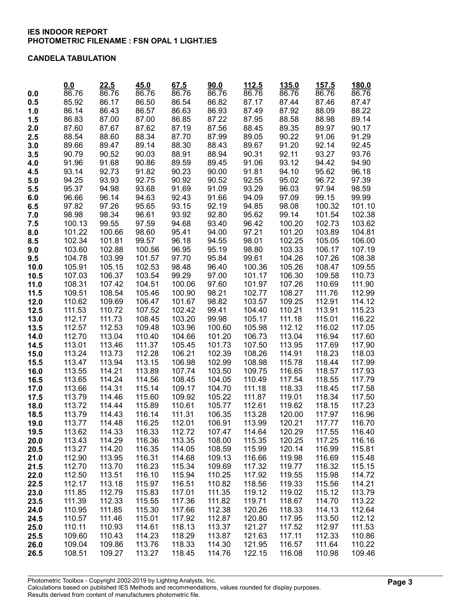#### CANDELA TABULATION

|              | 0.0              | 22.5             | 45.0             | 67.5             | 90.0             | 112.5            | 135.0            | 157.5            | 180.0            |
|--------------|------------------|------------------|------------------|------------------|------------------|------------------|------------------|------------------|------------------|
| 0.0          | 86.76            | 86.76            | 86.76            | 86.76            | 86.76            | 86.76            | 86.76            | 86.76            | 86.76            |
| 0.5          | 85.92            | 86.17            | 86.50            | 86.54            | 86.82            | 87.17            | 87.44            | 87.46            | 87.47            |
| 1.0          | 86.14            | 86.43            | 86.57            | 86.63            | 86.93            | 87.49            | 87.92            | 88.09            | 88.22            |
| 1.5          | 86.83            | 87.00            | 87.00            | 86.85            | 87.22            | 87.95            | 88.58            | 88.98            | 89.14            |
| 2.0          | 87.60            | 87.67            | 87.62            | 87.19            | 87.56            | 88.45            | 89.35            | 89.97            | 90.17            |
| 2.5          | 88.54            | 88.60            | 88.34            | 87.70            | 87.99            | 89.05            | 90.22            | 91.06            | 91.29            |
| 3.0          | 89.66            | 89.47            | 89.14            | 88.30            | 88.43            | 89.67            | 91.20            | 92.14            | 92.45            |
| 3.5          | 90.79            | 90.52            | 90.03            | 88.91            | 88.94            | 90.31            | 92.11            | 93.27            | 93.76            |
| 4.0          | 91.96            | 91.68            | 90.86            | 89.59<br>90.23   | 89.45            | 91.06            | 93.12            | 94.42            | 94.90            |
| 4.5          | 93.14<br>94.25   | 92.73            | 91.82            | 90.92            | 90.00<br>90.52   | 91.81<br>92.55   | 94.10            | 95.62<br>96.72   | 96.18<br>97.39   |
| 5.0          | 95.37            | 93.93<br>94.98   | 92.75<br>93.68   | 91.69            | 91.09            | 93.29            | 95.02<br>96.03   | 97.94            | 98.59            |
| 5.5<br>6.0   | 96.66            | 96.14            | 94.63            | 92.43            | 91.66            | 94.09            | 97.09            | 99.15            | 99.99            |
| 6.5          | 97.82            | 97.26            | 95.65            | 93.15            | 92.19            | 94.85            | 98.08            | 100.32           | 101.10           |
| 7.0          | 98.98            | 98.34            | 96.61            | 93.92            | 92.80            | 95.62            | 99.14            | 101.54           | 102.38           |
| 7.5          | 100.13           | 99.55            | 97.59            | 94.68            | 93.40            | 96.42            | 100.20           | 102.73           | 103.62           |
| 8.0          | 101.22           | 100.66           | 98.60            | 95.41            | 94.00            | 97.21            | 101.20           | 103.89           | 104.81           |
| 8.5          | 102.34           | 101.81           | 99.57            | 96.18            | 94.55            | 98.01            | 102.25           | 105.05           | 106.00           |
| 9.0          | 103.60           | 102.88           | 100.56           | 96.95            | 95.19            | 98.80            | 103.33           | 106.17           | 107.19           |
| 9.5          | 104.78           | 103.99           | 101.57           | 97.70            | 95.84            | 99.61            | 104.26           | 107.26           | 108.38           |
| 10.0         | 105.91           | 105.15           | 102.53           | 98.48            | 96.40            | 100.36           | 105.26           | 108.47           | 109.55           |
| 10.5         | 107.03           | 106.37           | 103.54           | 99.29            | 97.00            | 101.17           | 106.30           | 109.58           | 110.73           |
| 11.0         | 108.31           | 107.42           | 104.51           | 100.06           | 97.60            | 101.97           | 107.26           | 110.69           | 111.90           |
| 11.5         | 109.51           | 108.54           | 105.46           | 100.90           | 98.21            | 102.77           | 108.27           | 111.76           | 112.99           |
| 12.0         | 110.62           | 109.69           | 106.47           | 101.67           | 98.82            | 103.57           | 109.25           | 112.91           | 114.12           |
| 12.5         | 111.53           | 110.72           | 107.52           | 102.42           | 99.41            | 104.40           | 110.21           | 113.91           | 115.23           |
| 13.0         | 112.17           | 111.73           | 108.45           | 103.20           | 99.98            | 105.17           | 111.18           | 115.01           | 116.22           |
| 13.5         | 112.57           | 112.53           | 109.48           | 103.96           | 100.60           | 105.98           | 112.12           | 116.02           | 117.05           |
| 14.0         | 112.70           | 113.04           | 110.40           | 104.66           | 101.20           | 106.73           | 113.04           | 116.94           | 117.60           |
| 14.5         | 113.01           | 113.46           | 111.37           | 105.45           | 101.73           | 107.50           | 113.95           | 117.69           | 117.90           |
| 15.0         | 113.24           | 113.73           | 112.28           | 106.21           | 102.39           | 108.26           | 114.91           | 118.23           | 118.03           |
| 15.5         | 113.47           | 113.94           | 113.15           | 106.98           | 102.99           | 108.98           | 115.78           | 118.44           | 117.99           |
| 16.0         | 113.55           | 114.21           | 113.89           | 107.74           | 103.50           | 109.75           | 116.65           | 118.57           | 117.93           |
| 16.5         | 113.65<br>113.66 | 114.24<br>114.31 | 114.56           | 108.45<br>109.17 | 104.05           | 110.49           | 117.54           | 118.55           | 117.79           |
| 17.0         | 113.79           | 114.46           | 115.14<br>115.60 | 109.92           | 104.70<br>105.22 | 111.18<br>111.87 | 118.33<br>119.01 | 118.45<br>118.34 | 117.58<br>117.50 |
| 17.5<br>18.0 | 113.72           | 114.44           | 115.89           | 110.61           | 105.77           | 112.61           | 119.62           | 118.15           | 117.23           |
| 18.5         | 113.79           | 114.43           | 116.14           | 111.31           | 106.35           | 113.28           | 120.00           | 117.97           | 116.96           |
| 19.0         | 113.77           | 114.48           | 116.25           | 112.01           | 106.91           | 113.99           | 120.21           | 117.77           | 116.70           |
| 19.5         | 113.62           | 114.33           | 116.33           | 112.72           | 107.47           | 114.64           | 120.29           | 117.55           | 116.40           |
| 20.0         | 113.43           | 114.29           | 116.36           | 113.35           | 108.00           | 115.35           | 120.25           | 117.25           | 116.16           |
| 20.5         | 113.27           | 114.20           | 116.35           | 114.05           | 108.59           | 115.99           | 120.14           | 116.99           | 115.81           |
| 21.0         | 112.90           | 113.95           | 116.31           | 114.68           | 109.13           | 116.66           | 119.98           | 116.69           | 115.48           |
| 21.5         | 112.70           | 113.70           | 116.23           | 115.34           | 109.69           | 117.32           | 119.77           | 116.32           | 115.15           |
| 22.0         | 112.50           | 113.51           | 116.10           | 115.94           | 110.25           | 117.92           | 119.55           | 115.98           | 114.72           |
| 22.5         | 112.17           | 113.18           | 115.97           | 116.51           | 110.82           | 118.56           | 119.33           | 115.56           | 114.21           |
| 23.0         | 111.85           | 112.79           | 115.83           | 117.01           | 111.35           | 119.12           | 119.02           | 115.12           | 113.79           |
| 23.5         | 111.39           | 112.33           | 115.55           | 117.36           | 111.82           | 119.71           | 118.67           | 114.70           | 113.22           |
| 24.0         | 110.95           | 111.85           | 115.30           | 117.66           | 112.38           | 120.26           | 118.33           | 114.13           | 112.64           |
| 24.5         | 110.57           | 111.46           | 115.01           | 117.92           | 112.87           | 120.80           | 117.95           | 113.50           | 112.12           |
| 25.0         | 110.11           | 110.93           | 114.61           | 118.13           | 113.37           | 121.27           | 117.52           | 112.97           | 111.53           |
| 25.5         | 109.60           | 110.43           | 114.23           | 118.29           | 113.87           | 121.63           | 117.11           | 112.33           | 110.86           |
| 26.0         | 109.04           | 109.86           | 113.76           | 118.33           | 114.30           | 121.95           | 116.57           | 111.64           | 110.22           |
| 26.5         | 108.51           | 109.27           | 113.27           | 118.45           | 114.76           | 122.15           | 116.08           | 110.98           | 109.46           |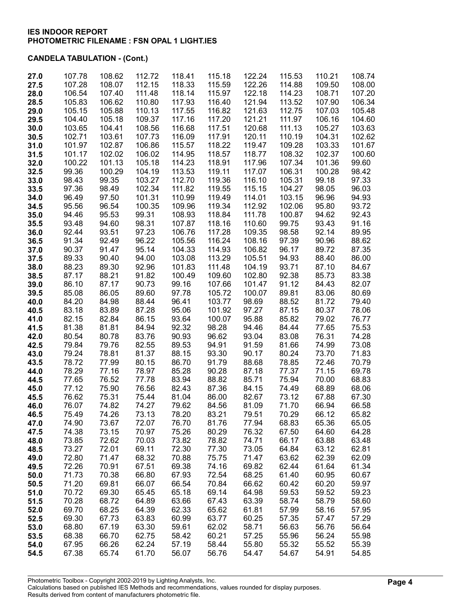| 27.0         | 107.78           | 108.62           | 112.72           | 118.41           | 115.18           | 122.24           | 115.53           | 110.21           | 108.74           |
|--------------|------------------|------------------|------------------|------------------|------------------|------------------|------------------|------------------|------------------|
| 27.5         | 107.28           | 108.07           | 112.15           | 118.33           | 115.59           | 122.26           | 114.88           | 109.50           | 108.00           |
| 28.0         | 106.54           | 107.40           | 111.48           | 118.14           | 115.97           | 122.18           | 114.23           | 108.71           | 107.20           |
| 28.5         | 105.83           | 106.62           | 110.80           | 117.93           | 116.40           | 121.94           | 113.52           | 107.90           | 106.34           |
| 29.0         | 105.15<br>104.40 | 105.88<br>105.18 | 110.13<br>109.37 | 117.55<br>117.16 | 116.82           | 121.63<br>121.21 | 112.75<br>111.97 | 107.03<br>106.16 | 105.48<br>104.60 |
| 29.5<br>30.0 | 103.65           | 104.41           | 108.56           | 116.68           | 117.20<br>117.51 | 120.68           | 111.13           | 105.27           | 103.63           |
| 30.5         | 102.71           | 103.61           | 107.73           | 116.09           | 117.91           | 120.11           | 110.19           | 104.31           | 102.62           |
| 31.0         | 101.97           | 102.87           | 106.86           | 115.57           | 118.22           | 119.47           | 109.28           | 103.33           | 101.67           |
| 31.5         | 101.17           | 102.02           | 106.02           | 114.95           | 118.57           | 118.77           | 108.32           | 102.37           | 100.60           |
| 32.0         | 100.22           | 101.13           | 105.18           | 114.23           | 118.91           | 117.96           | 107.34           | 101.36           | 99.60            |
| 32.5         | 99.36            | 100.29           | 104.19           | 113.53           | 119.11           | 117.07           | 106.31           | 100.28           | 98.42            |
| 33.0         | 98.43            | 99.35            | 103.27           | 112.70           | 119.36           | 116.10           | 105.31           | 99.18            | 97.33            |
| 33.5         | 97.36            | 98.49            | 102.34           | 111.82           | 119.55           | 115.15           | 104.27           | 98.05            | 96.03            |
| 34.0         | 96.49            | 97.50            | 101.31           | 110.99           | 119.49           | 114.01           | 103.15           | 96.96            | 94.93            |
| 34.5         | 95.56            | 96.54            | 100.35           | 109.96           | 119.34           | 112.92           | 102.06           | 95.80            | 93.72            |
| 35.0         | 94.46            | 95.53            | 99.31            | 108.93           | 118.84           | 111.78           | 100.87           | 94.62            | 92.43            |
| 35.5         | 93.48            | 94.60            | 98.31            | 107.87           | 118.16           | 110.60           | 99.75            | 93.43            | 91.16            |
| 36.0         | 92.44            | 93.51            | 97.23            | 106.76           | 117.28           | 109.35           | 98.58            | 92.14            | 89.95            |
| 36.5         | 91.34            | 92.49            | 96.22            | 105.56           | 116.24           | 108.16           | 97.39            | 90.96            | 88.62            |
| 37.0         | 90.37            | 91.47            | 95.14            | 104.33           | 114.93           | 106.82           | 96.17            | 89.72            | 87.35            |
| 37.5         | 89.33            | 90.40            | 94.00            | 103.08           | 113.29           | 105.51           | 94.93            | 88.40            | 86.00            |
| 38.0         | 88.23            | 89.30            | 92.96            | 101.83           | 111.48           | 104.19           | 93.71            | 87.10            | 84.67            |
| 38.5         | 87.17            | 88.21            | 91.82            | 100.49           | 109.60           | 102.80           | 92.38            | 85.73            | 83.38            |
| 39.0         | 86.10<br>85.08   | 87.17<br>86.05   | 90.73<br>89.60   | 99.16<br>97.78   | 107.66<br>105.72 | 101.47<br>100.07 | 91.12<br>89.81   | 84.43<br>83.06   | 82.07<br>80.69   |
| 39.5<br>40.0 | 84.20            | 84.98            | 88.44            | 96.41            | 103.77           | 98.69            | 88.52            | 81.72            | 79.40            |
| 40.5         | 83.18            | 83.89            | 87.28            | 95.06            | 101.92           | 97.27            | 87.15            | 80.37            | 78.06            |
| 41.0         | 82.15            | 82.84            | 86.15            | 93.64            | 100.07           | 95.88            | 85.82            | 79.02            | 76.77            |
| 41.5         | 81.38            | 81.81            | 84.94            | 92.32            | 98.28            | 94.46            | 84.44            | 77.65            | 75.53            |
| 42.0         | 80.54            | 80.78            | 83.76            | 90.93            | 96.62            | 93.04            | 83.08            | 76.31            | 74.28            |
| 42.5         | 79.84            | 79.76            | 82.55            | 89.53            | 94.91            | 91.59            | 81.66            | 74.99            | 73.08            |
| 43.0         | 79.24            | 78.81            | 81.37            | 88.15            | 93.30            | 90.17            | 80.24            | 73.70            | 71.83            |
| 43.5         | 78.72            | 77.99            | 80.15            | 86.70            | 91.79            | 88.68            | 78.85            | 72.46            | 70.79            |
| 44.0         | 78.29            | 77.16            | 78.97            | 85.28            | 90.28            | 87.18            | 77.37            | 71.15            | 69.78            |
| 44.5         | 77.65            | 76.52            | 77.78            | 83.94            | 88.82            | 85.71            | 75.94            | 70.00            | 68.83            |
| 45.0         | 77.12            | 75.90            | 76.56            | 82.43            | 87.36            | 84.15            | 74.49            | 68.89            | 68.06            |
| 45.5         | 76.62            | 75.31            | 75.44            | 81.04            | 86.00            | 82.67            | 73.12            | 67.88            | 67.30            |
| 46.0         | 76.07            | 74.82            | 74.27            | 79.62            | 84.56            | 81.09            | 71.70            | 66.94            | 66.58            |
| 46.5         | 75.49            | 74.26            | 73.13            | 78.20            | 83.21            | 79.51<br>77.94   | 70.29            | 66.12            | 65.82            |
| 47.0<br>47.5 | 74.90<br>74.38   | 73.67<br>73.15   | 72.07<br>70.97   | 76.70<br>75.26   | 81.76<br>80.29   | 76.32            | 68.83<br>67.50   | 65.36<br>64.60   | 65.05<br>64.28   |
| 48.0         | 73.85            | 72.62            | 70.03            | 73.82            | 78.82            | 74.71            | 66.17            | 63.88            | 63.48            |
| 48.5         | 73.27            | 72.01            | 69.11            | 72.30            | 77.30            | 73.05            | 64.84            | 63.12            | 62.81            |
| 49.0         | 72.80            | 71.47            | 68.32            | 70.88            | 75.75            | 71.47            | 63.62            | 62.39            | 62.09            |
| 49.5         | 72.26            | 70.91            | 67.51            | 69.38            | 74.16            | 69.82            | 62.44            | 61.64            | 61.34            |
| 50.0         | 71.73            | 70.38            | 66.80            | 67.93            | 72.54            | 68.25            | 61.40            | 60.95            | 60.67            |
| 50.5         | 71.20            | 69.81            | 66.07            | 66.54            | 70.84            | 66.62            | 60.42            | 60.20            | 59.97            |
| 51.0         | 70.72            | 69.30            | 65.45            | 65.18            | 69.14            | 64.98            | 59.53            | 59.52            | 59.23            |
| 51.5         | 70.28            | 68.72            | 64.89            | 63.66            | 67.43            | 63.39            | 58.74            | 58.79            | 58.60            |
| 52.0         | 69.70            | 68.25            | 64.39            | 62.33            | 65.62            | 61.81            | 57.99            | 58.16            | 57.95            |
| 52.5         | 69.30            | 67.73            | 63.83            | 60.99            | 63.77            | 60.25            | 57.35            | 57.47            | 57.29            |
| 53.0         | 68.80            | 67.19            | 63.30            | 59.61            | 62.02            | 58.71            | 56.63            | 56.76            | 56.64            |
| 53.5         | 68.38            | 66.70            | 62.75            | 58.42            | 60.21            | 57.25            | 55.96            | 56.24            | 55.98            |
| 54.0         | 67.95            | 66.26            | 62.24            | 57.19            | 58.44            | 55.80            | 55.32            | 55.52            | 55.39            |
| 54.5         | 67.38            | 65.74            | 61.70            | 56.07            | 56.76            | 54.47            | 54.67            | 54.91            | 54.85            |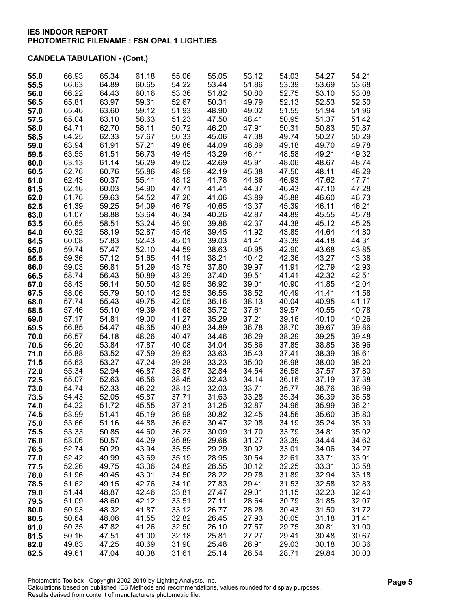| 55.0         | 66.93          | 65.34          | 61.18          | 55.06          | 55.05          | 53.12          | 54.03          | 54.27          | 54.21          |
|--------------|----------------|----------------|----------------|----------------|----------------|----------------|----------------|----------------|----------------|
| 55.5         | 66.63          | 64.89          | 60.65          | 54.22          | 53.44          | 51.86          | 53.39          | 53.69          | 53.68          |
| 56.0         | 66.22          | 64.43          | 60.16          | 53.36          | 51.82          | 50.80          | 52.75          | 53.10          | 53.08          |
| 56.5         | 65.81          | 63.97          | 59.61          | 52.67          | 50.31          | 49.79          | 52.13          | 52.53          | 52.50          |
| 57.0         | 65.46          | 63.60          | 59.12          | 51.93          | 48.90          | 49.02          | 51.55          | 51.94          | 51.96          |
| 57.5         | 65.04          | 63.10          | 58.63          | 51.23          | 47.50          | 48.41          | 50.95          | 51.37          | 51.42          |
| 58.0         | 64.71          | 62.70          | 58.11          | 50.72          | 46.20          | 47.91          | 50.31          | 50.83          | 50.87          |
| 58.5         | 64.25          | 62.33          | 57.67          | 50.33          | 45.06          | 47.38          | 49.74          | 50.27          | 50.29          |
| 59.0         | 63.94          | 61.91          | 57.21          | 49.86          | 44.09          | 46.89          | 49.18          | 49.70          | 49.78          |
| 59.5         | 63.55          | 61.51          | 56.73          | 49.45          | 43.29          | 46.41<br>45.91 | 48.58          | 49.21<br>48.67 | 49.32          |
| 60.0<br>60.5 | 63.13<br>62.76 | 61.14<br>60.76 | 56.29<br>55.86 | 49.02<br>48.58 | 42.69<br>42.19 | 45.38          | 48.06<br>47.50 | 48.11          | 48.74<br>48.29 |
| 61.0         | 62.43          | 60.37          | 55.41          | 48.12          | 41.78          | 44.86          | 46.93          | 47.62          | 47.71          |
| 61.5         | 62.16          | 60.03          | 54.90          | 47.71          | 41.41          | 44.37          | 46.43          | 47.10          | 47.28          |
| 62.0         | 61.76          | 59.63          | 54.52          | 47.20          | 41.06          | 43.89          | 45.88          | 46.60          | 46.73          |
| 62.5         | 61.39          | 59.25          | 54.09          | 46.79          | 40.65          | 43.37          | 45.39          | 46.11          | 46.21          |
| 63.0         | 61.07          | 58.88          | 53.64          | 46.34          | 40.26          | 42.87          | 44.89          | 45.55          | 45.78          |
| 63.5         | 60.65          | 58.51          | 53.24          | 45.90          | 39.86          | 42.37          | 44.38          | 45.12          | 45.25          |
| 64.0         | 60.32          | 58.19          | 52.87          | 45.48          | 39.45          | 41.92          | 43.85          | 44.64          | 44.80          |
| 64.5         | 60.08          | 57.83          | 52.43          | 45.01          | 39.03          | 41.41          | 43.39          | 44.18          | 44.31          |
| 65.0         | 59.74          | 57.47          | 52.10          | 44.59          | 38.63          | 40.95          | 42.90          | 43.68          | 43.85          |
| 65.5         | 59.36          | 57.12          | 51.65          | 44.19          | 38.21          | 40.42          | 42.36          | 43.27          | 43.38          |
| 66.0         | 59.03          | 56.81          | 51.29          | 43.75          | 37.80          | 39.97          | 41.91          | 42.79          | 42.93          |
| 66.5         | 58.74          | 56.43          | 50.89          | 43.29          | 37.40          | 39.51          | 41.41          | 42.32          | 42.51          |
| 67.0         | 58.43          | 56.14          | 50.50          | 42.95          | 36.92          | 39.01          | 40.90          | 41.85          | 42.04          |
| 67.5         | 58.06          | 55.79          | 50.10          | 42.53          | 36.55          | 38.52          | 40.49          | 41.41          | 41.58          |
| 68.0         | 57.74          | 55.43          | 49.75          | 42.05          | 36.16          | 38.13          | 40.04          | 40.95          | 41.17          |
| 68.5         | 57.46          | 55.10          | 49.39          | 41.68          | 35.72          | 37.61          | 39.57          | 40.55          | 40.78          |
| 69.0         | 57.17          | 54.81          | 49.00          | 41.27          | 35.29          | 37.21          | 39.16          | 40.10          | 40.26          |
| 69.5         | 56.85          | 54.47          | 48.65          | 40.83          | 34.89          | 36.78          | 38.70          | 39.67          | 39.86          |
| 70.0<br>70.5 | 56.57<br>56.20 | 54.18<br>53.84 | 48.26<br>47.87 | 40.47<br>40.08 | 34.46<br>34.04 | 36.29<br>35.86 | 38.29<br>37.85 | 39.25<br>38.85 | 39.48<br>38.96 |
| 71.0         | 55.88          | 53.52          | 47.59          | 39.63          | 33.63          | 35.43          | 37.41          | 38.39          | 38.61          |
| 71.5         | 55.63          | 53.27          | 47.24          | 39.28          | 33.23          | 35.00          | 36.98          | 38.00          | 38.20          |
| 72.0         | 55.34          | 52.94          | 46.87          | 38.87          | 32.84          | 34.54          | 36.58          | 37.57          | 37.80          |
| 72.5         | 55.07          | 52.63          | 46.56          | 38.45          | 32.43          | 34.14          | 36.16          | 37.19          | 37.38          |
| 73.0         | 54.74          | 52.33          | 46.22          | 38.12          | 32.03          | 33.71          | 35.77          | 36.76          | 36.99          |
| 73.5         | 54.43          | 52.05          | 45.87          | 37.71          | 31.63          | 33.28          | 35.34          | 36.39          | 36.58          |
| 74.0         | 54.22          | 51.72          | 45.55          | 37.31          | 31.25          | 32.87          | 34.96          | 35.99          | 36.21          |
| 74.5         | 53.99          | 51.41          | 45.19          | 36.98          | 30.82          | 32.45          | 34.56          | 35.60          | 35.80          |
| 75.0         | 53.66          | 51.16          | 44.88          | 36.63          | 30.47          | 32.08          | 34.19          | 35.24          | 35.39          |
| 75.5         | 53.33          | 50.85          | 44.60          | 36.23          | 30.09          | 31.70          | 33.79          | 34.81          | 35.02          |
| 76.0         | 53.06          | 50.57          | 44.29          | 35.89          | 29.68          | 31.27          | 33.39          | 34.44          | 34.62          |
| 76.5         | 52.74          | 50.29          | 43.94          | 35.55          | 29.29          | 30.92          | 33.01          | 34.06          | 34.27          |
| 77.0         | 52.42          | 49.99          | 43.69          | 35.19          | 28.95          | 30.54          | 32.61          | 33.71          | 33.91          |
| 77.5         | 52.26<br>51.96 | 49.75<br>49.45 | 43.36          | 34.82<br>34.50 | 28.55<br>28.22 | 30.12<br>29.78 | 32.25<br>31.89 | 33.31<br>32.94 | 33.58<br>33.18 |
| 78.0<br>78.5 | 51.62          | 49.15          | 43.01<br>42.76 | 34.10          | 27.83          | 29.41          | 31.53          | 32.58          | 32.83          |
| 79.0         | 51.44          | 48.87          | 42.46          | 33.81          | 27.47          | 29.01          | 31.15          | 32.23          | 32.40          |
| 79.5         | 51.09          | 48.60          | 42.12          | 33.51          | 27.11          | 28.64          | 30.79          | 31.85          | 32.07          |
| 80.0         | 50.93          | 48.32          | 41.87          | 33.12          | 26.77          | 28.28          | 30.43          | 31.50          | 31.72          |
| 80.5         | 50.64          | 48.08          | 41.55          | 32.82          | 26.45          | 27.93          | 30.05          | 31.18          | 31.41          |
| 81.0         | 50.35          | 47.82          | 41.26          | 32.50          | 26.10          | 27.57          | 29.75          | 30.81          | 31.00          |
| 81.5         | 50.16          | 47.51          | 41.00          | 32.18          | 25.81          | 27.27          | 29.41          | 30.48          | 30.67          |
| 82.0         | 49.83          | 47.25          | 40.69          | 31.90          | 25.48          | 26.91          | 29.03          | 30.18          | 30.36          |
| 82.5         | 49.61          | 47.04          | 40.38          | 31.61          | 25.14          | 26.54          | 28.71          | 29.84          | 30.03          |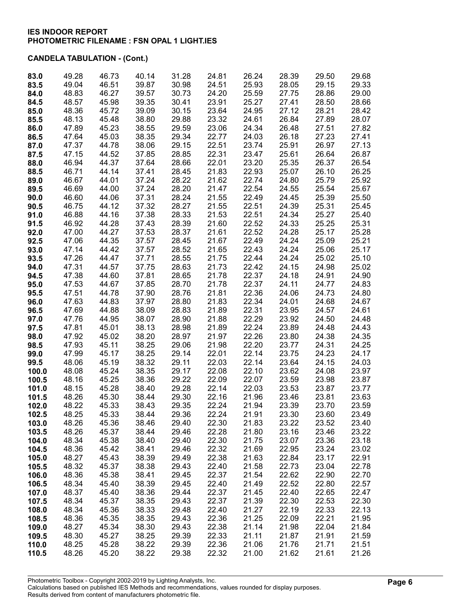| 83.0  | 49.28 | 46.73 | 40.14 | 31.28 | 24.81 | 26.24 | 28.39          | 29.50 | 29.68 |
|-------|-------|-------|-------|-------|-------|-------|----------------|-------|-------|
| 83.5  | 49.04 | 46.51 | 39.87 | 30.98 | 24.51 | 25.93 | 28.05          | 29.15 | 29.33 |
| 84.0  | 48.83 | 46.27 | 39.57 | 30.73 | 24.20 | 25.59 | 27.75          | 28.86 | 29.00 |
| 84.5  | 48.57 | 45.98 | 39.35 | 30.41 | 23.91 | 25.27 | 27.41          | 28.50 | 28.66 |
| 85.0  | 48.36 | 45.72 | 39.09 | 30.15 | 23.64 | 24.95 | 27.12          | 28.21 | 28.42 |
|       |       |       |       |       |       | 24.61 |                |       |       |
| 85.5  | 48.13 | 45.48 | 38.80 | 29.88 | 23.32 |       | 26.84          | 27.89 | 28.07 |
| 86.0  | 47.89 | 45.23 | 38.55 | 29.59 | 23.06 | 24.34 | 26.48          | 27.51 | 27.82 |
| 86.5  | 47.64 | 45.03 | 38.35 | 29.34 | 22.77 | 24.03 | 26.18          | 27.23 | 27.41 |
| 87.0  | 47.37 | 44.78 | 38.06 | 29.15 | 22.51 | 23.74 | 25.91          | 26.97 | 27.13 |
| 87.5  | 47.15 | 44.52 | 37.85 | 28.85 | 22.31 | 23.47 | 25.61          | 26.64 | 26.87 |
| 88.0  | 46.94 | 44.37 | 37.64 | 28.66 | 22.01 | 23.20 | 25.35          | 26.37 | 26.54 |
| 88.5  | 46.71 | 44.14 | 37.41 | 28.45 | 21.83 | 22.93 | 25.07          | 26.10 | 26.25 |
| 89.0  | 46.67 | 44.01 | 37.24 | 28.22 | 21.62 | 22.74 | 24.80          | 25.79 | 25.92 |
| 89.5  | 46.69 | 44.00 | 37.24 | 28.20 | 21.47 | 22.54 | 24.55          | 25.54 | 25.67 |
| 90.0  | 46.60 | 44.06 | 37.31 | 28.24 | 21.55 | 22.49 | 24.45          | 25.39 | 25.50 |
| 90.5  | 46.75 | 44.12 | 37.32 | 28.27 | 21.55 | 22.51 | 24.39          | 25.31 | 25.45 |
| 91.0  | 46.88 | 44.16 | 37.38 | 28.33 | 21.53 | 22.51 | 24.34          | 25.27 | 25.40 |
| 91.5  | 46.92 | 44.28 | 37.43 | 28.39 | 21.60 | 22.52 | 24.33          | 25.25 | 25.31 |
| 92.0  | 47.00 | 44.27 | 37.53 | 28.37 | 21.61 | 22.52 | 24.28          | 25.17 | 25.28 |
| 92.5  | 47.06 | 44.35 | 37.57 | 28.45 | 21.67 | 22.49 | 24.24          | 25.09 | 25.21 |
| 93.0  | 47.14 | 44.42 | 37.57 | 28.52 | 21.65 | 22.43 | 24.24          | 25.06 | 25.17 |
| 93.5  | 47.26 | 44.47 | 37.71 | 28.55 | 21.75 | 22.44 | 24.24          | 25.02 | 25.10 |
| 94.0  | 47.31 | 44.57 | 37.75 | 28.63 | 21.73 | 22.42 | 24.15          | 24.98 | 25.02 |
| 94.5  | 47.38 | 44.60 | 37.81 | 28.65 | 21.78 | 22.37 | 24.18          | 24.91 | 24.90 |
| 95.0  | 47.53 | 44.67 | 37.85 | 28.70 | 21.78 | 22.37 | 24.11          | 24.77 | 24.83 |
| 95.5  | 47.51 | 44.78 | 37.90 | 28.76 | 21.81 | 22.36 | 24.06          | 24.73 | 24.80 |
| 96.0  | 47.63 | 44.83 | 37.97 | 28.80 | 21.83 | 22.34 | 24.01          | 24.68 | 24.67 |
| 96.5  | 47.69 | 44.88 | 38.09 | 28.83 | 21.89 | 22.31 | 23.95          | 24.57 | 24.61 |
| 97.0  | 47.76 | 44.95 | 38.07 | 28.90 | 21.88 | 22.29 | 23.92          | 24.50 | 24.48 |
| 97.5  | 47.81 | 45.01 | 38.13 | 28.98 | 21.89 | 22.24 | 23.89          | 24.48 | 24.43 |
| 98.0  | 47.92 | 45.02 | 38.20 | 28.97 | 21.97 | 22.26 | 23.80          | 24.38 | 24.35 |
| 98.5  | 47.93 | 45.11 | 38.25 | 29.06 | 21.98 | 22.20 | 23.77          | 24.31 | 24.25 |
| 99.0  | 47.99 | 45.17 | 38.25 | 29.14 | 22.01 | 22.14 | 23.75          | 24.23 | 24.17 |
| 99.5  | 48.06 | 45.19 | 38.32 | 29.11 | 22.03 | 22.14 | 23.64          | 24.15 | 24.03 |
| 100.0 | 48.08 | 45.24 | 38.35 | 29.17 | 22.08 | 22.10 | 23.62          | 24.08 | 23.97 |
| 100.5 | 48.16 | 45.25 | 38.36 | 29.22 | 22.09 | 22.07 | 23.59          | 23.98 | 23.87 |
| 101.0 | 48.15 | 45.28 | 38.40 | 29.28 | 22.14 | 22.03 | 23.53          | 23.87 | 23.77 |
| 101.5 | 48.26 | 45.30 | 38.44 | 29.30 | 22.16 | 21.96 | 23.46          | 23.81 | 23.63 |
| 102.0 | 48.22 | 45.33 | 38.43 | 29.35 | 22.24 | 21.94 | 23.39          | 23.70 | 23.59 |
| 102.5 | 48.25 | 45.33 | 38.44 | 29.36 | 22.24 | 21.91 |                | 23.60 | 23.49 |
|       | 48.26 | 45.36 | 38.46 | 29.40 | 22.30 | 21.83 | 23.30<br>23.22 | 23.52 | 23.40 |
| 103.0 |       |       |       | 29.46 |       |       | 23.16          |       |       |
| 103.5 | 48.26 | 45.37 | 38.44 |       | 22.28 | 21.80 |                | 23.46 | 23.22 |
| 104.0 | 48.34 | 45.38 | 38.40 | 29.40 | 22.30 | 21.75 | 23.07          | 23.36 | 23.18 |
| 104.5 | 48.36 | 45.42 | 38.41 | 29.46 | 22.32 | 21.69 | 22.95          | 23.24 | 23.02 |
| 105.0 | 48.27 | 45.43 | 38.39 | 29.49 | 22.38 | 21.63 | 22.84          | 23.17 | 22.91 |
| 105.5 | 48.32 | 45.37 | 38.38 | 29.43 | 22.40 | 21.58 | 22.73          | 23.04 | 22.78 |
| 106.0 | 48.36 | 45.38 | 38.41 | 29.45 | 22.37 | 21.54 | 22.62          | 22.90 | 22.70 |
| 106.5 | 48.34 | 45.40 | 38.39 | 29.45 | 22.40 | 21.49 | 22.52          | 22.80 | 22.57 |
| 107.0 | 48.37 | 45.40 | 38.36 | 29.44 | 22.37 | 21.45 | 22.40          | 22.65 | 22.47 |
| 107.5 | 48.34 | 45.37 | 38.35 | 29.43 | 22.37 | 21.39 | 22.30          | 22.53 | 22.30 |
| 108.0 | 48.34 | 45.36 | 38.33 | 29.48 | 22.40 | 21.27 | 22.19          | 22.33 | 22.13 |
| 108.5 | 48.36 | 45.35 | 38.35 | 29.43 | 22.36 | 21.25 | 22.09          | 22.21 | 21.95 |
| 109.0 | 48.27 | 45.34 | 38.30 | 29.43 | 22.38 | 21.14 | 21.98          | 22.04 | 21.84 |
| 109.5 | 48.30 | 45.27 | 38.25 | 29.39 | 22.33 | 21.11 | 21.87          | 21.91 | 21.59 |
| 110.0 | 48.25 | 45.28 | 38.22 | 29.39 | 22.36 | 21.06 | 21.76          | 21.71 | 21.51 |
| 110.5 | 48.26 | 45.20 | 38.22 | 29.38 | 22.32 | 21.00 | 21.62          | 21.61 | 21.26 |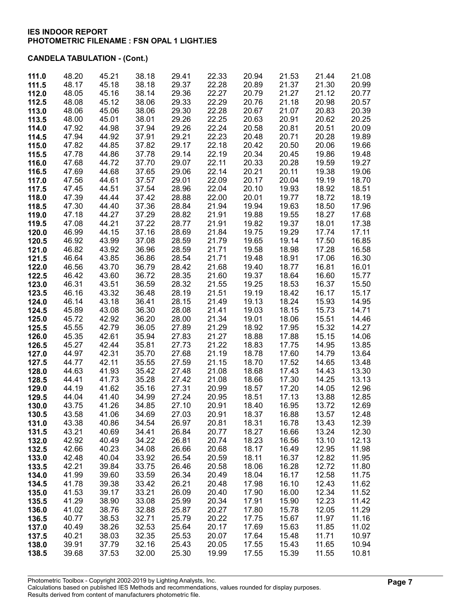| 111.0          | 48.20          | 45.21          | 38.18          | 29.41          | 22.33          | 20.94          | 21.53          | 21.44          | 21.08          |
|----------------|----------------|----------------|----------------|----------------|----------------|----------------|----------------|----------------|----------------|
| 111.5          | 48.17          | 45.18          | 38.18          | 29.37          | 22.28          | 20.89          | 21.37          | 21.30          | 20.99          |
| 112.0          | 48.05          | 45.16          | 38.14          | 29.36          | 22.27          | 20.79          | 21.27          | 21.12          | 20.77          |
| 112.5          | 48.08          | 45.12          | 38.06          | 29.33          | 22.29          | 20.76          | 21.18          | 20.98          | 20.57          |
| 113.0          | 48.06          | 45.06          | 38.06          | 29.30          | 22.28          | 20.67          | 21.07          | 20.83          | 20.39          |
| 113.5          | 48.00          | 45.01          | 38.01          | 29.26          | 22.25          | 20.63          | 20.91          | 20.62          | 20.25          |
| 114.0          | 47.92          | 44.98          | 37.94          | 29.26          | 22.24          | 20.58          | 20.81          | 20.51          | 20.09          |
| 114.5          | 47.94          | 44.92          | 37.91          | 29.21          | 22.23          | 20.48          | 20.71          | 20.28          | 19.89          |
| 115.0          | 47.82          | 44.85          | 37.82          | 29.17          | 22.18          | 20.42          | 20.50          | 20.06          | 19.66          |
| 115.5          | 47.78          | 44.86          | 37.78          | 29.14          | 22.19          | 20.34          | 20.45          | 19.86          | 19.48          |
| 116.0          | 47.68          | 44.72          | 37.70          | 29.07          | 22.11          | 20.33          | 20.28          | 19.59          | 19.27          |
| 116.5          | 47.69          | 44.68          | 37.65          | 29.06          | 22.14          | 20.21          | 20.11          | 19.38          | 19.06          |
| 117.0          | 47.56          | 44.61          | 37.57          | 29.01          | 22.09          | 20.17          | 20.04          | 19.19          | 18.70          |
| 117.5          | 47.45          | 44.51          | 37.54          | 28.96          | 22.04          | 20.10          | 19.93          | 18.92          | 18.51          |
| 118.0          | 47.39<br>47.30 | 44.44<br>44.40 | 37.42          | 28.88          | 22.00<br>21.94 | 20.01<br>19.94 | 19.77          | 18.72          | 18.19<br>17.96 |
| 118.5<br>119.0 | 47.18          | 44.27          | 37.36<br>37.29 | 28.84<br>28.82 | 21.91          | 19.88          | 19.63<br>19.55 | 18.50<br>18.27 | 17.68          |
| 119.5          | 47.08          | 44.21          | 37.22          | 28.77          | 21.91          | 19.82          | 19.37          | 18.01          | 17.38          |
| 120.0          | 46.99          | 44.15          | 37.16          | 28.69          | 21.84          | 19.75          | 19.29          | 17.74          | 17.11          |
| 120.5          | 46.92          | 43.99          | 37.08          | 28.59          | 21.79          | 19.65          | 19.14          | 17.50          | 16.85          |
| 121.0          | 46.82          | 43.92          | 36.96          | 28.59          | 21.71          | 19.58          | 18.98          | 17.28          | 16.58          |
| 121.5          | 46.64          | 43.85          | 36.86          | 28.54          | 21.71          | 19.48          | 18.91          | 17.06          | 16.30          |
| 122.0          | 46.56          | 43.70          | 36.79          | 28.42          | 21.68          | 19.40          | 18.77          | 16.81          | 16.01          |
| 122.5          | 46.42          | 43.60          | 36.72          | 28.35          | 21.60          | 19.37          | 18.64          | 16.60          | 15.77          |
| 123.0          | 46.31          | 43.51          | 36.59          | 28.32          | 21.55          | 19.25          | 18.53          | 16.37          | 15.50          |
| 123.5          | 46.16          | 43.32          | 36.48          | 28.19          | 21.51          | 19.19          | 18.42          | 16.17          | 15.17          |
| 124.0          | 46.14          | 43.18          | 36.41          | 28.15          | 21.49          | 19.13          | 18.24          | 15.93          | 14.95          |
| 124.5          | 45.89          | 43.08          | 36.30          | 28.08          | 21.41          | 19.03          | 18.15          | 15.73          | 14.71          |
| 125.0          | 45.72          | 42.92          | 36.20          | 28.00          | 21.34          | 19.01          | 18.06          | 15.51          | 14.46          |
| 125.5          | 45.55          | 42.79          | 36.05          | 27.89          | 21.29          | 18.92          | 17.95          | 15.32          | 14.27          |
| 126.0          | 45.35          | 42.61          | 35.94          | 27.83          | 21.27          | 18.88          | 17.88          | 15.15          | 14.06          |
| 126.5          | 45.27          | 42.44          | 35.81          | 27.73          | 21.22          | 18.83          | 17.75          | 14.95          | 13.85          |
| 127.0          | 44.97          | 42.31          | 35.70          | 27.68          | 21.19          | 18.78          | 17.60          | 14.79          | 13.64          |
| 127.5          | 44.77<br>44.63 | 42.11<br>41.93 | 35.55<br>35.42 | 27.59<br>27.48 | 21.15<br>21.08 | 18.70<br>18.68 | 17.52<br>17.43 | 14.65<br>14.43 | 13.48<br>13.30 |
| 128.0<br>128.5 | 44.41          | 41.73          | 35.28          | 27.42          | 21.08          | 18.66          | 17.30          | 14.25          | 13.13          |
| 129.0          | 44.19          | 41.62          | 35.16          | 27.31          | 20.99          | 18.57          | 17.20          | 14.05          | 12.96          |
| 129.5          | 44.04          | 41.40          | 34.99          | 27.24          | 20.95          | 18.51          | 17.13          | 13.88          | 12.85          |
| 130.0          | 43.75          | 41.26          | 34.85          | 27.10          | 20.91          | 18.40          | 16.95          | 13.72          | 12.69          |
| 130.5          | 43.58          | 41.06          | 34.69          | 27.03          | 20.91          | 18.37          | 16.88          | 13.57          | 12.48          |
| 131.0          | 43.38          | 40.86          | 34.54          | 26.97          | 20.81          | 18.31          | 16.78          | 13.43          | 12.39          |
| 131.5          | 43.21          | 40.69          | 34.41          | 26.84          | 20.77          | 18.27          | 16.66          | 13.24          | 12.30          |
| 132.0          | 42.92          | 40.49          | 34.22          | 26.81          | 20.74          | 18.23          | 16.56          | 13.10          | 12.13          |
| 132.5          | 42.66          | 40.23          | 34.08          | 26.66          | 20.68          | 18.17          | 16.49          | 12.95          | 11.98          |
| 133.0          | 42.48          | 40.04          | 33.92          | 26.54          | 20.59          | 18.11          | 16.37          | 12.82          | 11.95          |
| 133.5          | 42.21          | 39.84          | 33.75          | 26.46          | 20.58          | 18.06          | 16.28          | 12.72          | 11.80          |
| 134.0          | 41.99          | 39.60          | 33.59          | 26.34          | 20.49          | 18.04          | 16.17          | 12.58          | 11.75          |
| 134.5          | 41.78          | 39.38          | 33.42          | 26.21          | 20.48          | 17.98          | 16.10          | 12.43          | 11.62          |
| 135.0          | 41.53          | 39.17          | 33.21          | 26.09          | 20.40          | 17.90          | 16.00          | 12.34          | 11.52          |
| 135.5          | 41.29          | 38.90          | 33.08          | 25.99<br>25.87 | 20.34<br>20.27 | 17.91<br>17.80 | 15.90          | 12.23          | 11.42<br>11.29 |
| 136.0<br>136.5 | 41.02<br>40.77 | 38.76<br>38.53 | 32.88<br>32.71 | 25.79          | 20.22          | 17.75          | 15.78<br>15.67 | 12.05<br>11.97 | 11.16          |
| 137.0          | 40.49          | 38.26          | 32.53          | 25.64          | 20.17          | 17.69          | 15.63          | 11.85          | 11.02          |
| 137.5          | 40.21          | 38.03          | 32.35          | 25.53          | 20.07          | 17.64          | 15.48          | 11.71          | 10.97          |
| 138.0          | 39.91          | 37.79          | 32.16          | 25.43          | 20.05          | 17.55          | 15.43          | 11.65          | 10.94          |
| 138.5          | 39.68          | 37.53          | 32.00          | 25.30          | 19.99          | 17.55          | 15.39          | 11.55          | 10.81          |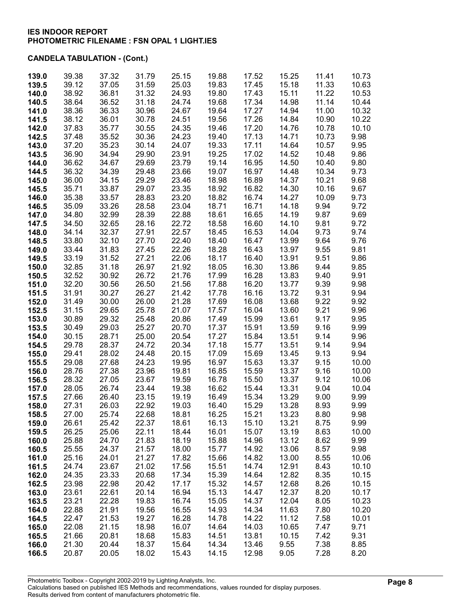| 139.0          | 39.38          | 37.32          | 31.79          | 25.15          | 19.88          | 17.52          | 15.25          | 11.41          | 10.73          |
|----------------|----------------|----------------|----------------|----------------|----------------|----------------|----------------|----------------|----------------|
| 139.5          | 39.12          | 37.05          | 31.59          | 25.03          | 19.83          | 17.45          | 15.18          | 11.33          | 10.63          |
| 140.0          | 38.92          | 36.81          | 31.32          | 24.93          | 19.80          | 17.43          | 15.11          | 11.22          | 10.53          |
| 140.5          | 38.64          | 36.52          | 31.18          | 24.74          | 19.68          | 17.34          | 14.98          | 11.14          | 10.44          |
| 141.0          | 38.36          | 36.33          | 30.96          | 24.67          | 19.64          | 17.27          | 14.94          | 11.00          | 10.32          |
| 141.5          | 38.12          | 36.01          | 30.78          | 24.51          | 19.56          | 17.26          | 14.84          | 10.90          | 10.22          |
| 142.0          | 37.83          | 35.77          | 30.55          | 24.35          | 19.46          | 17.20          | 14.76          | 10.78          | 10.10          |
| 142.5          | 37.48          | 35.52          | 30.36          | 24.23          | 19.40          | 17.13          | 14.71          | 10.73          | 9.98           |
| 143.0          | 37.20          | 35.23          | 30.14          | 24.07<br>23.91 | 19.33          | 17.11<br>17.02 | 14.64          | 10.57<br>10.48 | 9.95<br>9.86   |
| 143.5<br>144.0 | 36.90<br>36.62 | 34.94<br>34.67 | 29.90<br>29.69 | 23.79          | 19.25<br>19.14 | 16.95          | 14.52<br>14.50 | 10.40          | 9.80           |
| 144.5          | 36.32          | 34.39          | 29.48          | 23.66          | 19.07          | 16.97          | 14.48          | 10.34          | 9.73           |
| 145.0          | 36.00          | 34.15          | 29.29          | 23.46          | 18.98          | 16.89          | 14.37          | 10.21          | 9.68           |
| 145.5          | 35.71          | 33.87          | 29.07          | 23.35          | 18.92          | 16.82          | 14.30          | 10.16          | 9.67           |
| 146.0          | 35.38          | 33.57          | 28.83          | 23.20          | 18.82          | 16.74          | 14.27          | 10.09          | 9.73           |
| 146.5          | 35.09          | 33.26          | 28.58          | 23.04          | 18.71          | 16.71          | 14.18          | 9.94           | 9.72           |
| 147.0          | 34.80          | 32.99          | 28.39          | 22.88          | 18.61          | 16.65          | 14.19          | 9.87           | 9.69           |
| 147.5          | 34.50          | 32.65          | 28.16          | 22.72          | 18.58          | 16.60          | 14.10          | 9.81           | 9.72           |
| 148.0          | 34.14          | 32.37          | 27.91          | 22.57          | 18.45          | 16.53          | 14.04          | 9.73           | 9.74           |
| 148.5          | 33.80          | 32.10          | 27.70          | 22.40          | 18.40          | 16.47          | 13.99          | 9.64           | 9.76           |
| 149.0          | 33.44          | 31.83          | 27.45          | 22.26          | 18.28          | 16.43          | 13.97          | 9.55           | 9.81           |
| 149.5          | 33.19          | 31.52          | 27.21          | 22.06          | 18.17          | 16.40          | 13.91          | 9.51           | 9.86           |
| 150.0          | 32.85          | 31.18          | 26.97          | 21.92          | 18.05          | 16.30          | 13.86          | 9.44           | 9.85           |
| 150.5          | 32.52          | 30.92          | 26.72          | 21.76          | 17.99          | 16.28          | 13.83          | 9.40           | 9.91           |
| 151.0          | 32.20          | 30.56          | 26.50          | 21.56          | 17.88          | 16.20          | 13.77          | 9.39           | 9.98           |
| 151.5          | 31.91          | 30.27          | 26.27          | 21.42          | 17.78          | 16.16          | 13.72          | 9.31           | 9.94           |
| 152.0          | 31.49          | 30.00          | 26.00          | 21.28          | 17.69          | 16.08          | 13.68          | 9.22           | 9.92           |
| 152.5          | 31.15          | 29.65          | 25.78          | 21.07          | 17.57          | 16.04          | 13.60          | 9.21           | 9.96           |
| 153.0          | 30.89          | 29.32          | 25.48          | 20.86          | 17.49          | 15.99          | 13.61          | 9.17           | 9.95           |
| 153.5          | 30.49<br>30.15 | 29.03<br>28.71 | 25.27<br>25.00 | 20.70<br>20.54 | 17.37<br>17.27 | 15.91<br>15.84 | 13.59<br>13.51 | 9.16<br>9.14   | 9.99<br>9.96   |
| 154.0<br>154.5 | 29.78          | 28.37          | 24.72          | 20.34          | 17.18          | 15.77          | 13.51          | 9.14           | 9.94           |
| 155.0          | 29.41          | 28.02          | 24.48          | 20.15          | 17.09          | 15.69          | 13.45          | 9.13           | 9.94           |
| 155.5          | 29.08          | 27.68          | 24.23          | 19.95          | 16.97          | 15.63          | 13.37          | 9.15           | 10.00          |
| 156.0          | 28.76          | 27.38          | 23.96          | 19.81          | 16.85          | 15.59          | 13.37          | 9.16           | 10.00          |
| 156.5          | 28.32          | 27.05          | 23.67          | 19.59          | 16.78          | 15.50          | 13.37          | 9.12           | 10.06          |
| 157.0          | 28.05          | 26.74          | 23.44          | 19.38          | 16.62          | 15.44          | 13.31          | 9.04           | 10.04          |
| 157.5          | 27.66          | 26.40          | 23.15          | 19.19          | 16.49          | 15.34          | 13.29          | 9.00           | 9.99           |
| 158.0          | 27.31          | 26.03          | 22.92          | 19.03          | 16.40          | 15.29          | 13.28          | 8.93           | 9.99           |
| 158.5          | 27.00          | 25.74          | 22.68          | 18.81          | 16.25          | 15.21          | 13.23          | 8.80           | 9.98           |
| 159.0          | 26.61          | 25.42          | 22.37          | 18.61          | 16.13          | 15.10          | 13.21          | 8.75           | 9.99           |
| 159.5          | 26.25          | 25.06          | 22.11          | 18.44          | 16.01          | 15.07          | 13.19          | 8.63           | 10.00          |
| 160.0          | 25.88          | 24.70          | 21.83          | 18.19          | 15.88          | 14.96          | 13.12          | 8.62           | 9.99           |
| 160.5          | 25.55          | 24.37          | 21.57          | 18.00          | 15.77          | 14.92          | 13.06          | 8.57           | 9.98           |
| 161.0          | 25.16          | 24.01          | 21.27          | 17.82          | 15.66          | 14.82          | 13.00          | 8.55           | 10.06          |
| 161.5<br>162.0 | 24.74<br>24.35 | 23.67<br>23.33 | 21.02<br>20.68 | 17.56<br>17.34 | 15.51<br>15.39 | 14.74<br>14.64 | 12.91<br>12.82 | 8.43<br>8.35   | 10.10<br>10.15 |
| 162.5          | 23.98          | 22.98          | 20.42          | 17.17          | 15.32          | 14.57          | 12.68          | 8.26           | 10.15          |
| 163.0          | 23.61          | 22.61          | 20.14          | 16.94          | 15.13          | 14.47          | 12.37          | 8.20           | 10.17          |
| 163.5          | 23.21          | 22.28          | 19.83          | 16.74          | 15.05          | 14.37          | 12.04          | 8.05           | 10.23          |
| 164.0          | 22.88          | 21.91          | 19.56          | 16.55          | 14.93          | 14.34          | 11.63          | 7.80           | 10.20          |
| 164.5          | 22.47          | 21.53          | 19.27          | 16.28          | 14.78          | 14.22          | 11.12          | 7.58           | 10.01          |
| 165.0          | 22.08          | 21.15          | 18.98          | 16.07          | 14.64          | 14.03          | 10.65          | 7.47           | 9.71           |
| 165.5          | 21.66          | 20.81          | 18.68          | 15.83          | 14.51          | 13.81          | 10.15          | 7.42           | 9.31           |
| 166.0          | 21.30          | 20.44          | 18.37          | 15.64          | 14.34          | 13.46          | 9.55           | 7.38           | 8.85           |
| 166.5          | 20.87          | 20.05          | 18.02          | 15.43          | 14.15          | 12.98          | 9.05           | 7.28           | 8.20           |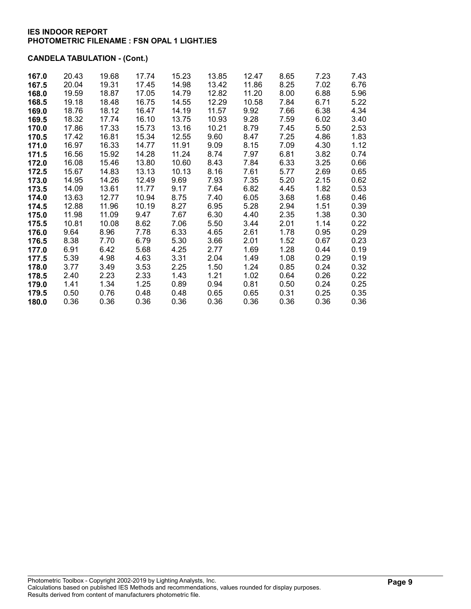| 167.0 | 20.43 | 19.68 | 17.74 | 15.23 | 13.85 | 12.47 | 8.65 | 7.23 | 7.43 |
|-------|-------|-------|-------|-------|-------|-------|------|------|------|
| 167.5 | 20.04 | 19.31 | 17.45 | 14.98 | 13.42 | 11.86 | 8.25 | 7.02 | 6.76 |
| 168.0 | 19.59 | 18.87 | 17.05 | 14.79 | 12.82 | 11.20 | 8.00 | 6.88 | 5.96 |
| 168.5 | 19.18 | 18.48 | 16.75 | 14.55 | 12.29 | 10.58 | 7.84 | 6.71 | 5.22 |
| 169.0 | 18.76 | 18.12 | 16.47 | 14.19 | 11.57 | 9.92  | 7.66 | 6.38 | 4.34 |
| 169.5 | 18.32 | 17.74 | 16.10 | 13.75 | 10.93 | 9.28  | 7.59 | 6.02 | 3.40 |
| 170.0 | 17.86 | 17.33 | 15.73 | 13.16 | 10.21 | 8.79  | 7.45 | 5.50 | 2.53 |
| 170.5 | 17.42 | 16.81 | 15.34 | 12.55 | 9.60  | 8.47  | 7.25 | 4.86 | 1.83 |
| 171.0 | 16.97 | 16.33 | 14.77 | 11.91 | 9.09  | 8.15  | 7.09 | 4.30 | 1.12 |
| 171.5 | 16.56 | 15.92 | 14.28 | 11.24 | 8.74  | 7.97  | 6.81 | 3.82 | 0.74 |
| 172.0 | 16.08 | 15.46 | 13.80 | 10.60 | 8.43  | 7.84  | 6.33 | 3.25 | 0.66 |
| 172.5 | 15.67 | 14.83 | 13.13 | 10.13 | 8.16  | 7.61  | 5.77 | 2.69 | 0.65 |
| 173.0 | 14.95 | 14.26 | 12.49 | 9.69  | 7.93  | 7.35  | 5.20 | 2.15 | 0.62 |
| 173.5 | 14.09 | 13.61 | 11.77 | 9.17  | 7.64  | 6.82  | 4.45 | 1.82 | 0.53 |
| 174.0 | 13.63 | 12.77 | 10.94 | 8.75  | 7.40  | 6.05  | 3.68 | 1.68 | 0.46 |
| 174.5 | 12.88 | 11.96 | 10.19 | 8.27  | 6.95  | 5.28  | 2.94 | 1.51 | 0.39 |
| 175.0 | 11.98 | 11.09 | 9.47  | 7.67  | 6.30  | 4.40  | 2.35 | 1.38 | 0.30 |
| 175.5 | 10.81 | 10.08 | 8.62  | 7.06  | 5.50  | 3.44  | 2.01 | 1.14 | 0.22 |
| 176.0 | 9.64  | 8.96  | 7.78  | 6.33  | 4.65  | 2.61  | 1.78 | 0.95 | 0.29 |
| 176.5 | 8.38  | 7.70  | 6.79  | 5.30  | 3.66  | 2.01  | 1.52 | 0.67 | 0.23 |
| 177.0 | 6.91  | 6.42  | 5.68  | 4.25  | 2.77  | 1.69  | 1.28 | 0.44 | 0.19 |
| 177.5 | 5.39  | 4.98  | 4.63  | 3.31  | 2.04  | 1.49  | 1.08 | 0.29 | 0.19 |
| 178.0 | 3.77  | 3.49  | 3.53  | 2.25  | 1.50  | 1.24  | 0.85 | 0.24 | 0.32 |
| 178.5 | 2.40  | 2.23  | 2.33  | 1.43  | 1.21  | 1.02  | 0.64 | 0.26 | 0.22 |
| 179.0 | 1.41  | 1.34  | 1.25  | 0.89  | 0.94  | 0.81  | 0.50 | 0.24 | 0.25 |
| 179.5 | 0.50  | 0.76  | 0.48  | 0.48  | 0.65  | 0.65  | 0.31 | 0.25 | 0.35 |
| 180.0 | 0.36  | 0.36  | 0.36  | 0.36  | 0.36  | 0.36  | 0.36 | 0.36 | 0.36 |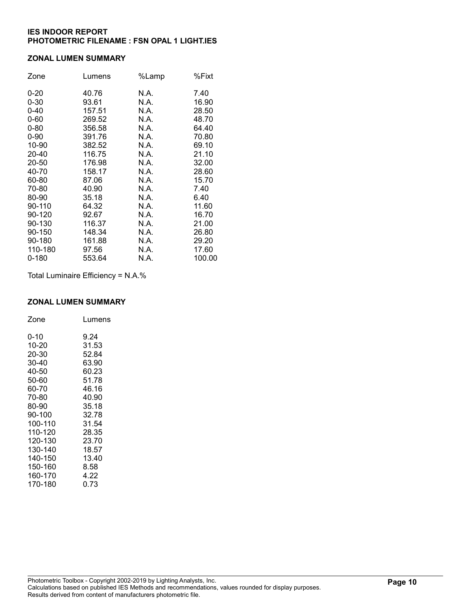#### ZONAL LUMEN SUMMARY

| Zone     | Lumens | %Lamp | %Fixt  |
|----------|--------|-------|--------|
| $0 - 20$ | 40.76  | N.A.  | 7.40   |
| $0 - 30$ | 93.61  | N.A.  | 16.90  |
| $0 - 40$ | 157.51 | N.A.  | 28.50  |
| $0 - 60$ | 269.52 | N.A.  | 48.70  |
| $0 - 80$ | 356.58 | N.A.  | 64.40  |
| $0 - 90$ | 391.76 | N.A.  | 70.80  |
| 10-90    | 382.52 | N.A.  | 69.10  |
| 20-40    | 116.75 | N.A.  | 21.10  |
| 20-50    | 176.98 | N.A.  | 32.00  |
| 40-70    | 158.17 | N.A.  | 28.60  |
| 60-80    | 87.06  | N.A.  | 15.70  |
| 70-80    | 40.90  | N.A.  | 7.40   |
| 80-90    | 35.18  | N.A.  | 6.40   |
| 90-110   | 64.32  | N.A.  | 11.60  |
| 90-120   | 92.67  | N.A.  | 16.70  |
| 90-130   | 116.37 | N.A.  | 21.00  |
| 90-150   | 148.34 | N.A.  | 26.80  |
| 90-180   | 161.88 | N.A.  | 29.20  |
| 110-180  | 97.56  | N.A.  | 17.60  |
| 0-180    | 553.64 | N.A.  | 100.00 |

Total Luminaire Efficiency = N.A.%

### ZONAL LUMEN SUMMARY

| Zone    | Lumens |
|---------|--------|
| 0-10    | 9.24   |
| 10-20   | 31.53  |
| 20-30   | 52.84  |
| 30-40   | 63.90  |
| 40-50   | 60.23  |
| 50-60   | 51.78  |
| 60-70   | 46.16  |
| 70-80   | 40.90  |
| 80-90   | 35.18  |
| 90-100  | 32.78  |
| 100-110 | 31.54  |
| 110-120 | 28.35  |
| 120-130 | 23.70  |
| 130-140 | 18.57  |
| 140-150 | 13.40  |
| 150-160 | 8.58   |
| 160-170 | 4.22   |
| 170-180 | 0.73   |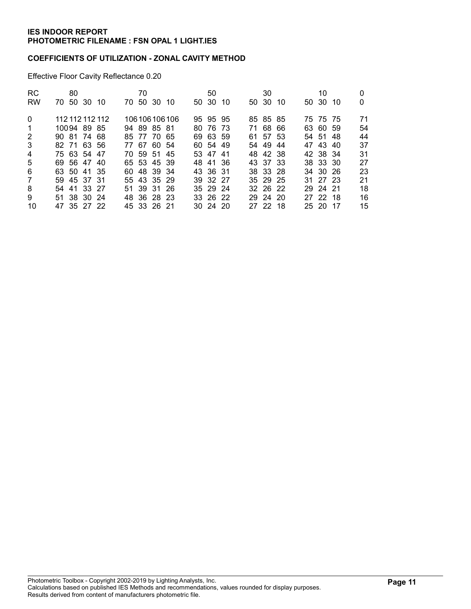### COEFFICIENTS OF UTILIZATION - ZONAL CAVITY METHOD

Effective Floor Cavity Reflectance 0.20

| <b>RC</b><br><b>RW</b> | 80<br>70 50 30 10 | 70<br>70 50 30 10 | 50<br>50 30<br>-10 | 30<br>50 30<br>-10 | 10<br>50 30<br>-10<br>0 |
|------------------------|-------------------|-------------------|--------------------|--------------------|-------------------------|
|                        |                   |                   |                    |                    |                         |
| $\mathbf{0}$           | 112 112 112 112   | 106 106 106 106   | 95 95 95           | 85 85 85           | 71<br>75 75 75          |
| $\mathbf 1$            | 10094 89 85       | 94 89 85 81       | 80 76 73           | 71 68 66           | 54<br>63 60 59          |
| 2                      | 90 81 74 68       | 85 77 70 65       | 69 63 59           | 61 57 53           | 44<br>54 51 48          |
| 3                      | 82 71 63 56       | 77 67 60 54       | 60 54 49           | 54 49<br>-44       | 37<br>47 43 40          |
| $\overline{4}$         | 75 63 54 47       | 70 59 51 45       | 53 47 41           | 48 42 38           | 31<br>42 38 34          |
| 5                      | 69 56 47 40       | 65 53 45 39       | 48 41 36           | 43 37 33           | 27<br>38 33 30          |
| 6                      | 63 50 41 35       | 60 48 39 34       | 43 36 31           | 38 33 28           | 23<br>34 30 26          |
| 7                      | 59 45 37 31       | 55 43 35 29       | 39 32 27           | 35 29 25           | 21<br>31 27 23          |
| 8                      | 54 41 33 27       | 51 39 31 26       | 35 29 24           | 32 26 22           | 18<br>29 24 21          |
| 9                      | 51 38 30 24       | 48 36 28 23       | 33 26 22           | 29 24 20           | 16<br>27 22 18          |
| 10                     | 47 35 27 22       | 45 33 26 21       | $30\,24\,20$       | 27 22 18           | 15<br>25 20 17          |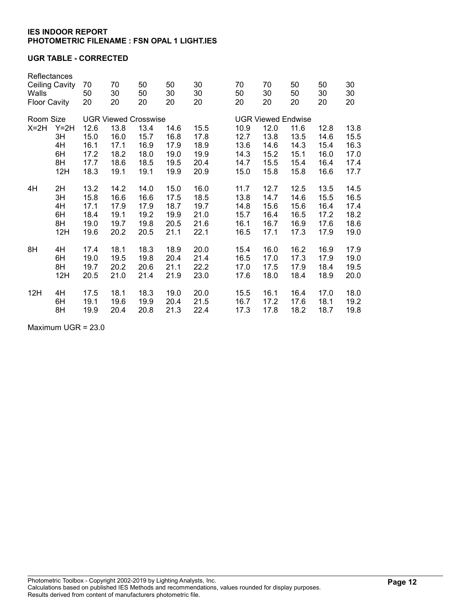### UGR TABLE - CORRECTED

| Reflectances<br><b>Ceiling Cavity</b><br>Walls<br><b>Floor Cavity</b> |        | 70<br>50<br>20              | 70<br>30<br>20 | 50<br>50<br>20 | 50<br>30<br>20 | 30<br>30<br>20 |  | 70<br>50<br>20            | 70<br>30<br>20 | 50<br>50<br>20 | 50<br>30<br>20 | 30<br>30<br>20 |
|-----------------------------------------------------------------------|--------|-----------------------------|----------------|----------------|----------------|----------------|--|---------------------------|----------------|----------------|----------------|----------------|
|                                                                       |        |                             |                |                |                |                |  |                           |                |                |                |                |
| Room Size                                                             |        | <b>UGR Viewed Crosswise</b> |                |                |                |                |  | <b>UGR Viewed Endwise</b> |                |                |                |                |
| $X=2H$                                                                | $Y=2H$ | 12.6                        | 13.8           | 13.4           | 14.6           | 15.5           |  | 10.9                      | 12.0           | 11.6           | 12.8           | 13.8           |
|                                                                       | 3H     | 15.0                        | 16.0           | 15.7           | 16.8           | 17.8           |  | 12.7                      | 13.8           | 13.5           | 14.6           | 15.5           |
|                                                                       | 4H     | 16.1                        | 17.1           | 16.9           | 17.9           | 18.9           |  | 13.6                      | 14.6           | 14.3           | 15.4           | 16.3           |
|                                                                       | 6H     | 17.2                        | 18.2           | 18.0           | 19.0           | 19.9           |  | 14.3                      | 15.2           | 15.1           | 16.0           | 17.0           |
|                                                                       | 8H     | 17.7                        | 18.6           | 18.5           | 19.5           | 20.4           |  | 14.7                      | 15.5           | 15.4           | 16.4           | 17.4           |
|                                                                       | 12H    | 18.3                        | 19.1           | 19.1           | 19.9           | 20.9           |  | 15.0                      | 15.8           | 15.8           | 16.6           | 17.7           |
| 4H                                                                    | 2H     | 13.2                        | 14.2           | 14.0           | 15.0           | 16.0           |  | 11.7                      | 12.7           | 12.5           | 13.5           | 14.5           |
|                                                                       | 3H     | 15.8                        | 16.6           | 16.6           | 17.5           | 18.5           |  | 13.8                      | 14.7           | 14.6           | 15.5           | 16.5           |
|                                                                       | 4H     | 17.1                        | 17.9           | 17.9           | 18.7           | 19.7           |  | 14.8                      | 15.6           | 15.6           | 16.4           | 17.4           |
|                                                                       | 6H     | 18.4                        | 19.1           | 19.2           | 19.9           | 21.0           |  | 15.7                      | 16.4           | 16.5           | 17.2           | 18.2           |
|                                                                       | 8H     | 19.0                        | 19.7           | 19.8           | 20.5           | 21.6           |  | 16.1                      | 16.7           | 16.9           | 17.6           | 18.6           |
|                                                                       | 12H    | 19.6                        | 20.2           | 20.5           | 21.1           | 22.1           |  | 16.5                      | 17.1           | 17.3           | 17.9           | 19.0           |
| 8H                                                                    | 4H     | 17.4                        | 18.1           | 18.3           | 18.9           | 20.0           |  | 15.4                      | 16.0           | 16.2           | 16.9           | 17.9           |
|                                                                       | 6H     | 19.0                        | 19.5           | 19.8           | 20.4           | 21.4           |  | 16.5                      | 17.0           | 17.3           | 17.9           | 19.0           |
|                                                                       | 8H     | 19.7                        | 20.2           | 20.6           | 21.1           | 22.2           |  | 17.0                      | 17.5           | 17.9           | 18.4           | 19.5           |
|                                                                       | 12H    | 20.5                        | 21.0           | 21.4           | 21.9           | 23.0           |  | 17.6                      | 18.0           | 18.4           | 18.9           | 20.0           |
| 12H                                                                   | 4H     | 17.5                        | 18.1           | 18.3           | 19.0           | 20.0           |  | 15.5                      | 16.1           | 16.4           | 17.0           | 18.0           |
|                                                                       | 6H     | 19.1                        | 19.6           | 19.9           | 20.4           | 21.5           |  | 16.7                      | 17.2           | 17.6           | 18.1           | 19.2           |
|                                                                       | 8H     | 19.9                        | 20.4           | 20.8           | 21.3           | 22.4           |  | 17.3                      | 17.8           | 18.2           | 18.7           | 19.8           |

Maximum UGR = 23.0